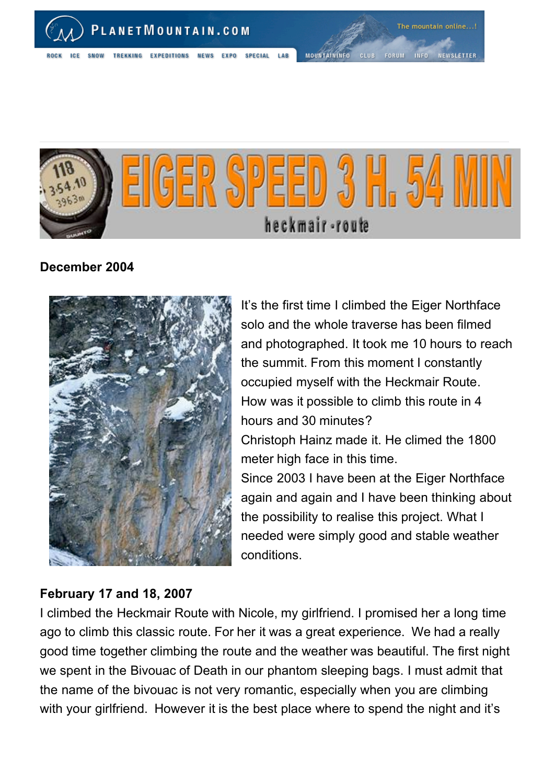

**NEWS EXPO** 

**SPECIAL** 

MOUNTAININFO CLUB FORUM INFO NEWSLETTER



## **December 2004**



It's the first time I climbed the Eiger Northface solo and the whole traverse has been filmed and photographed. It took me 10 hours to reach the summit. From this moment I constantly occupied myself with the Heckmair Route. How was it possible to climb this route in 4 hours and 30 minutes? Christoph Hainz made it. He climed the 1800 meter high face in this time. Since 2003 I have been at the Eiger Northface again and again and I have been thinking about the possibility to realise this project. What I needed were simply good and stable weather conditions.

## **February 17 and 18, 2007**

I climbed the Heckmair Route with Nicole, my girlfriend. I promised her a long time ago to climb this classic route. For her it was a great experience. We had a really good time together climbing the route and the weather was beautiful. The first night we spent in the Bivouac of Death in our phantom sleeping bags. I must admit that the name of the bivouac is not very romantic, especially when you are climbing with your girlfriend. However it is the best place where to spend the night and it's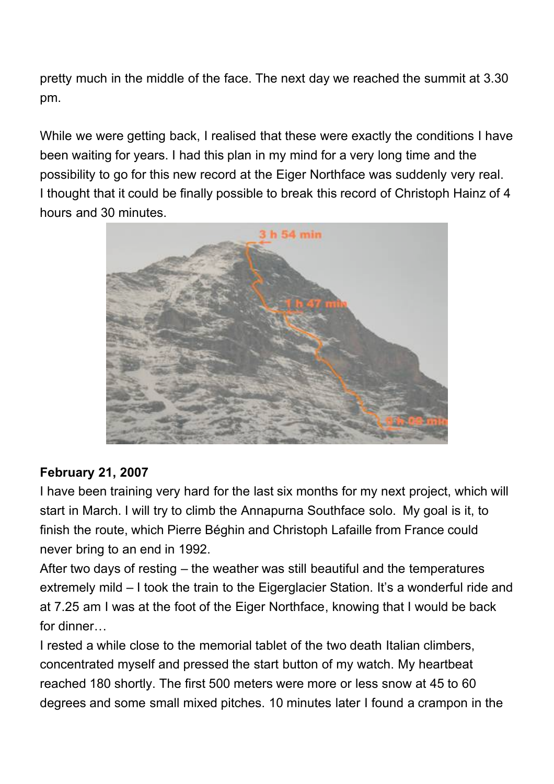pretty much in the middle of the face. The next day we reached the summit at 3.30 pm.

While we were getting back, I realised that these were exactly the conditions I have been waiting for years. I had this plan in my mind for a very long time and the possibility to go for this new record at the Eiger Northface was suddenly very real. I thought that it could be finally possible to break this record of Christoph Hainz of 4 hours and 30 minutes.



## **February 21, 2007**

I have been training very hard for the last six months for my next project, which will start in March. I will try to climb the Annapurna Southface solo. My goal is it, to finish the route, which Pierre Béghin and Christoph Lafaille from France could never bring to an end in 1992.

After two days of resting – the weather was still beautiful and the temperatures extremely mild – I took the train to the Eigerglacier Station. It's a wonderful ride and at 7.25 am I was at the foot of the Eiger Northface, knowing that I would be back for dinner…

I rested a while close to the memorial tablet of the two death Italian climbers, concentrated myself and pressed the start button of my watch. My heartbeat reached 180 shortly. The first 500 meters were more or less snow at 45 to 60 degrees and some small mixed pitches. 10 minutes later I found a crampon in the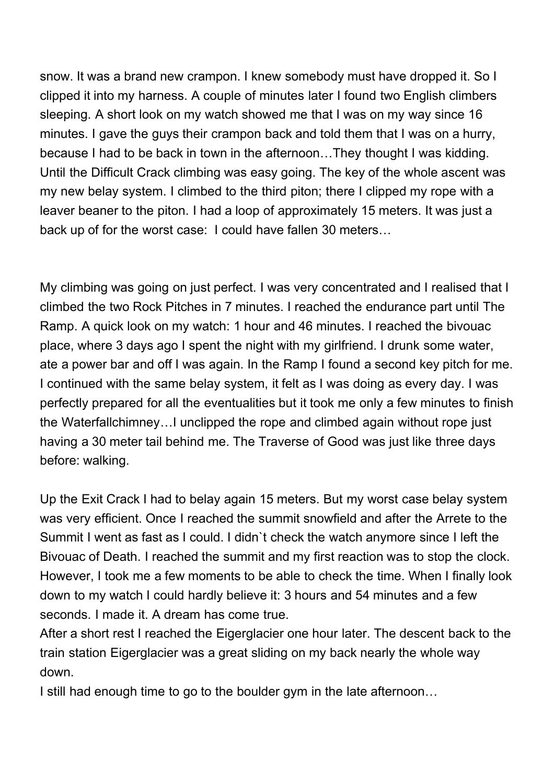snow. It was a brand new crampon. I knew somebody must have dropped it. So I clipped it into my harness. A couple of minutes later I found two English climbers sleeping. A short look on my watch showed me that I was on my way since 16 minutes. I gave the guys their crampon back and told them that I was on a hurry, because I had to be back in town in the afternoon…They thought I was kidding. Until the Difficult Crack climbing was easy going. The key of the whole ascent was my new belay system. I climbed to the third piton; there I clipped my rope with a leaver beaner to the piton. I had a loop of approximately 15 meters. It was just a back up of for the worst case: I could have fallen 30 meters…

My climbing was going on just perfect. I was very concentrated and I realised that I climbed the two Rock Pitches in 7 minutes. I reached the endurance part until The Ramp. A quick look on my watch: 1 hour and 46 minutes. I reached the bivouac place, where 3 days ago I spent the night with my girlfriend. I drunk some water, ate a power bar and off I was again. In the Ramp I found a second key pitch for me. I continued with the same belay system, it felt as I was doing as every day. I was perfectly prepared for all the eventualities but it took me only a few minutes to finish the Waterfallchimney…I unclipped the rope and climbed again without rope just having a 30 meter tail behind me. The Traverse of Good was just like three days before: walking.

Up the Exit Crack I had to belay again 15 meters. But my worst case belay system was very efficient. Once I reached the summit snowfield and after the Arrete to the Summit I went as fast as I could. I didn`t check the watch anymore since I left the Bivouac of Death. I reached the summit and my first reaction was to stop the clock. However, I took me a few moments to be able to check the time. When I finally look down to my watch I could hardly believe it: 3 hours and 54 minutes and a few seconds. I made it. A dream has come true.

After a short rest I reached the Eigerglacier one hour later. The descent back to the train station Eigerglacier was a great sliding on my back nearly the whole way down.

I still had enough time to go to the boulder gym in the late afternoon…